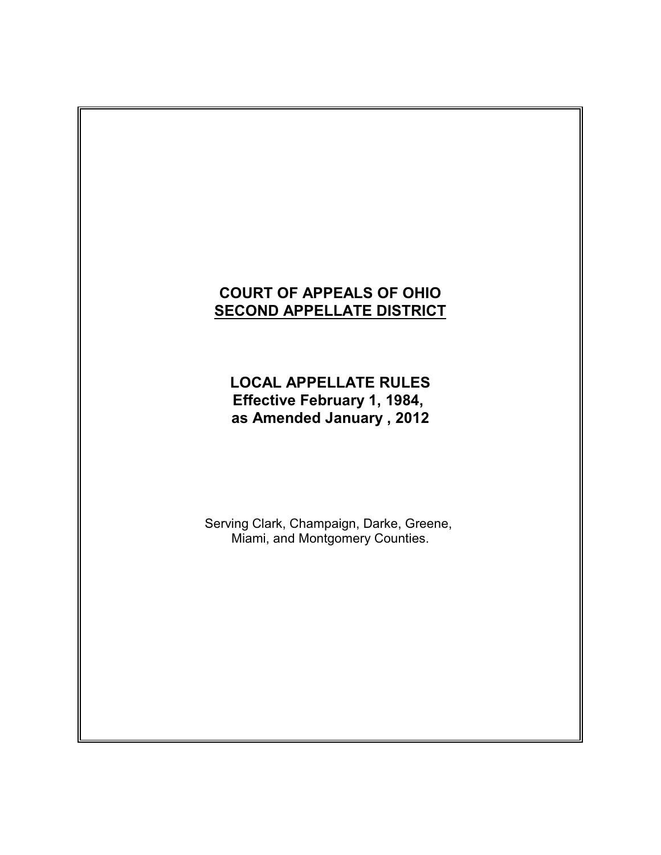# **COURT OF APPEALS OF OHIO SECOND APPELLATE DISTRICT**

**LOCAL APPELLATE RULES Effective February 1, 1984, as Amended January , 2012**

Serving Clark, Champaign, Darke, Greene, Miami, and Montgomery Counties.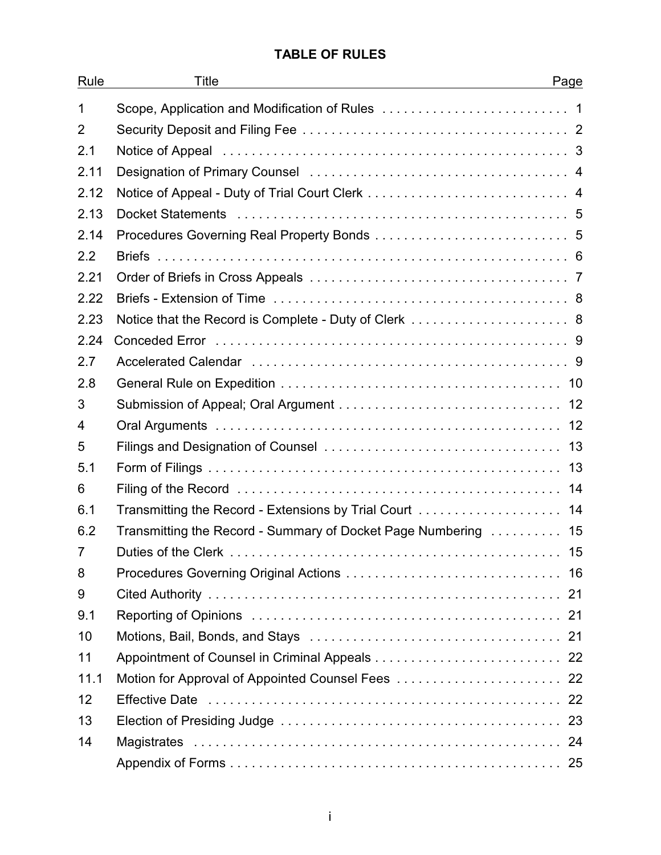# **TABLE OF RULES**

| Rule           | Title<br>Page                                                  |  |
|----------------|----------------------------------------------------------------|--|
| $\mathbf 1$    |                                                                |  |
| $\overline{2}$ |                                                                |  |
| 2.1            |                                                                |  |
| 2.11           |                                                                |  |
| 2.12           |                                                                |  |
| 2.13           |                                                                |  |
| 2.14           |                                                                |  |
| 2.2            |                                                                |  |
| 2.21           |                                                                |  |
| 2.22           |                                                                |  |
| 2.23           | Notice that the Record is Complete - Duty of Clerk  8          |  |
| 2.24           |                                                                |  |
| 2.7            |                                                                |  |
| 2.8            |                                                                |  |
| 3              |                                                                |  |
| $\overline{4}$ |                                                                |  |
| 5              |                                                                |  |
| 5.1            |                                                                |  |
| 6              |                                                                |  |
| 6.1            | Transmitting the Record - Extensions by Trial Court  14        |  |
| 6.2            | Transmitting the Record - Summary of Docket Page Numbering  15 |  |
| 7              | 15                                                             |  |
| 8              |                                                                |  |
| 9              |                                                                |  |
| 9.1            |                                                                |  |
| 10             |                                                                |  |
| 11             |                                                                |  |
| 11.1           | Motion for Approval of Appointed Counsel Fees  22              |  |
| 12             |                                                                |  |
| 13             |                                                                |  |
| 14             |                                                                |  |
|                |                                                                |  |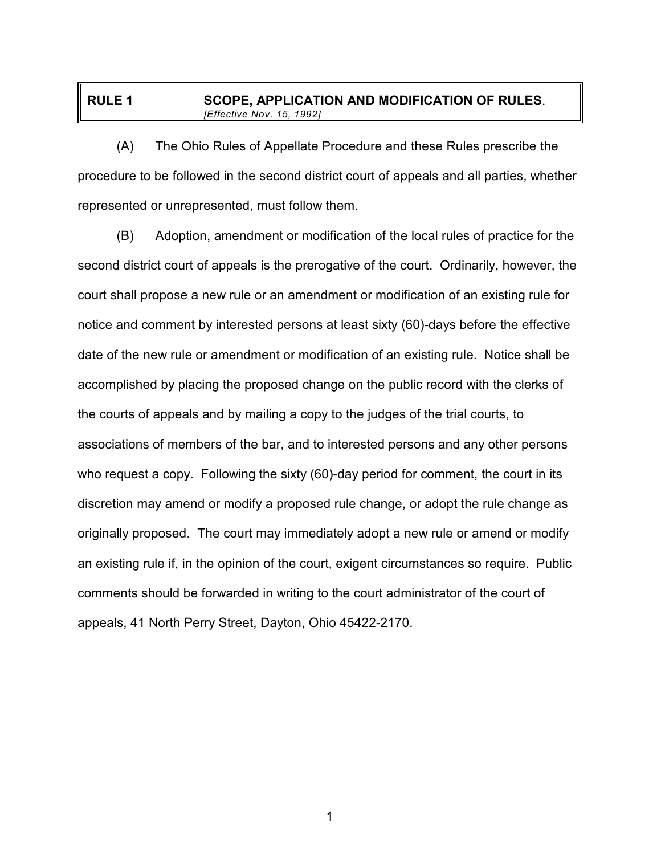## **RULE 1 SCOPE, APPLICATION AND MODIFICATION OF RULES**. *[Effective Nov. 15, 1992]*

(A) The Ohio Rules of Appellate Procedure and these Rules prescribe the procedure to be followed in the second district court of appeals and all parties, whether represented or unrepresented, must follow them.

(B) Adoption, amendment or modification of the local rules of practice for the second district court of appeals is the prerogative of the court. Ordinarily, however, the court shall propose a new rule or an amendment or modification of an existing rule for notice and comment by interested persons at least sixty (60)-days before the effective date of the new rule or amendment or modification of an existing rule. Notice shall be accomplished by placing the proposed change on the public record with the clerks of the courts of appeals and by mailing a copy to the judges of the trial courts, to associations of members of the bar, and to interested persons and any other persons who request a copy. Following the sixty (60)-day period for comment, the court in its discretion may amend or modify a proposed rule change, or adopt the rule change as originally proposed. The court may immediately adopt a new rule or amend or modify an existing rule if, in the opinion of the court, exigent circumstances so require. Public comments should be forwarded in writing to the court administrator of the court of appeals, 41 North Perry Street, Dayton, Ohio 45422-2170.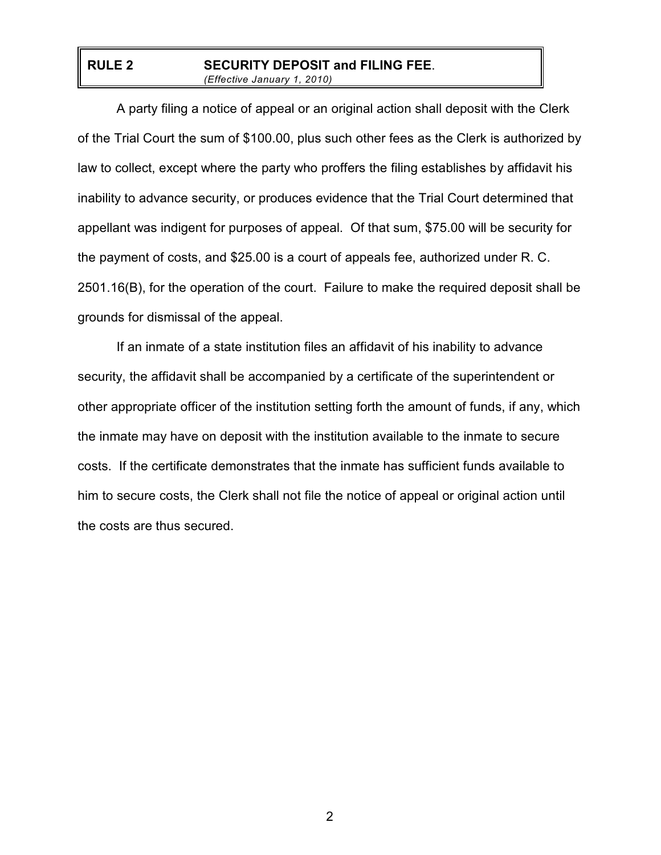#### **RULE 2 SECURITY DEPOSIT and FILING FEE**. *(Effective January 1, 2010)*

A party filing a notice of appeal or an original action shall deposit with the Clerk of the Trial Court the sum of \$100.00, plus such other fees as the Clerk is authorized by law to collect, except where the party who proffers the filing establishes by affidavit his inability to advance security, or produces evidence that the Trial Court determined that appellant was indigent for purposes of appeal. Of that sum, \$75.00 will be security for the payment of costs, and \$25.00 is a court of appeals fee, authorized under R. C. 2501.16(B), for the operation of the court. Failure to make the required deposit shall be grounds for dismissal of the appeal.

If an inmate of a state institution files an affidavit of his inability to advance security, the affidavit shall be accompanied by a certificate of the superintendent or other appropriate officer of the institution setting forth the amount of funds, if any, which the inmate may have on deposit with the institution available to the inmate to secure costs. If the certificate demonstrates that the inmate has sufficient funds available to him to secure costs, the Clerk shall not file the notice of appeal or original action until the costs are thus secured.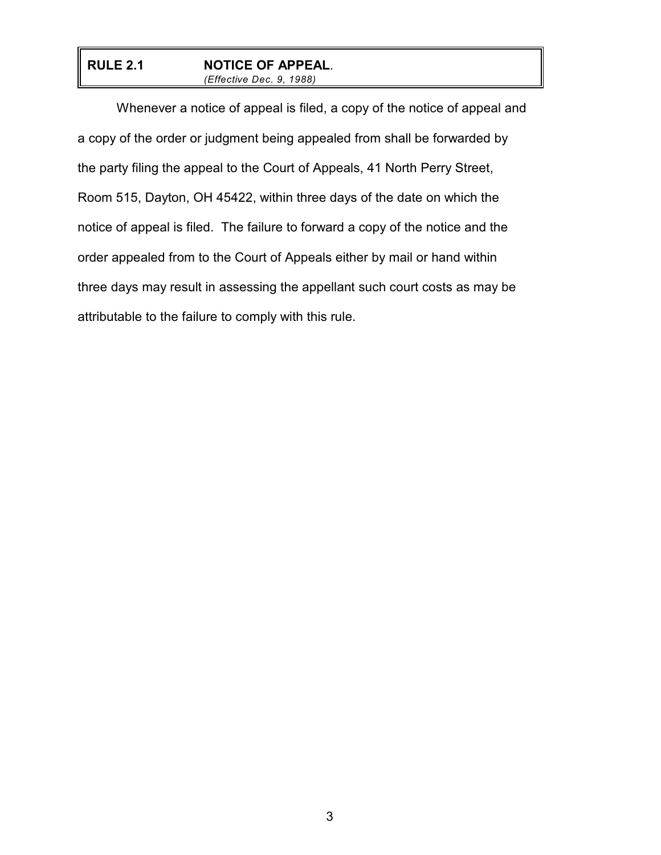#### **RULE 2.1 NOTICE OF APPEAL**. *(Effective Dec. 9, 1988)*

Whenever a notice of appeal is filed, a copy of the notice of appeal and a copy of the order or judgment being appealed from shall be forwarded by the party filing the appeal to the Court of Appeals, 41 North Perry Street, Room 515, Dayton, OH 45422, within three days of the date on which the notice of appeal is filed. The failure to forward a copy of the notice and the order appealed from to the Court of Appeals either by mail or hand within three days may result in assessing the appellant such court costs as may be attributable to the failure to comply with this rule.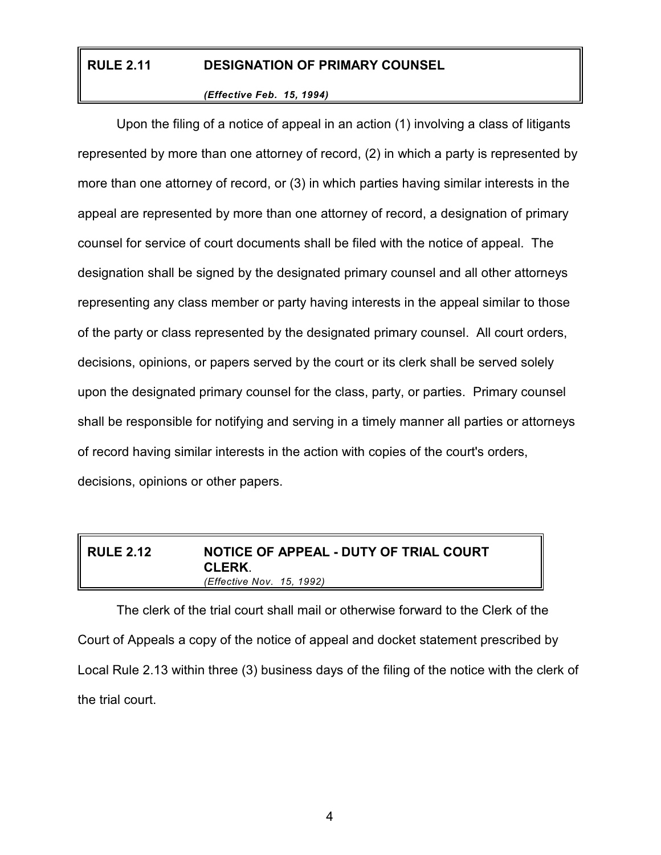# **RULE 2.11 DESIGNATION OF PRIMARY COUNSEL**

#### *(Effective Feb. 15, 1994)*

Upon the filing of a notice of appeal in an action (1) involving a class of litigants represented by more than one attorney of record, (2) in which a party is represented by more than one attorney of record, or (3) in which parties having similar interests in the appeal are represented by more than one attorney of record, a designation of primary counsel for service of court documents shall be filed with the notice of appeal. The designation shall be signed by the designated primary counsel and all other attorneys representing any class member or party having interests in the appeal similar to those of the party or class represented by the designated primary counsel. All court orders, decisions, opinions, or papers served by the court or its clerk shall be served solely upon the designated primary counsel for the class, party, or parties. Primary counsel shall be responsible for notifying and serving in a timely manner all parties or attorneys of record having similar interests in the action with copies of the court's orders, decisions, opinions or other papers.

## **RULE 2.12 NOTICE OF APPEAL - DUTY OF TRIAL COURT CLERK**. *(Effective Nov. 15, 1992)*

The clerk of the trial court shall mail or otherwise forward to the Clerk of the Court of Appeals a copy of the notice of appeal and docket statement prescribed by Local Rule 2.13 within three (3) business days of the filing of the notice with the clerk of the trial court.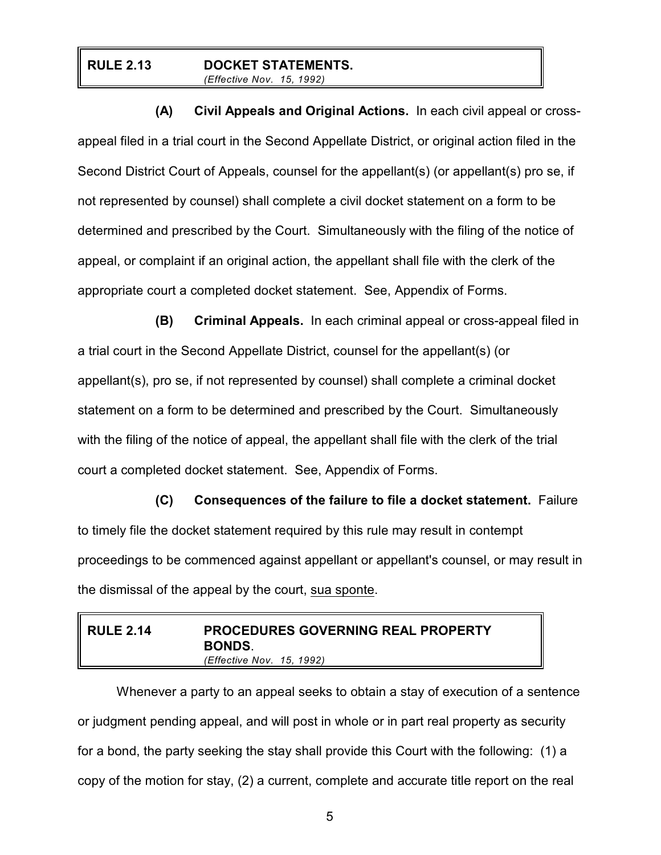#### **RULE 2.13 DOCKET STATEMENTS.** *(Effective Nov. 15, 1992)*

**(A) Civil Appeals and Original Actions.** In each civil appeal or crossappeal filed in a trial court in the Second Appellate District, or original action filed in the Second District Court of Appeals, counsel for the appellant(s) (or appellant(s) pro se, if not represented by counsel) shall complete a civil docket statement on a form to be determined and prescribed by the Court. Simultaneously with the filing of the notice of appeal, or complaint if an original action, the appellant shall file with the clerk of the appropriate court a completed docket statement. See, Appendix of Forms.

**(B) Criminal Appeals.** In each criminal appeal or cross-appeal filed in a trial court in the Second Appellate District, counsel for the appellant(s) (or appellant(s), pro se, if not represented by counsel) shall complete a criminal docket statement on a form to be determined and prescribed by the Court. Simultaneously with the filing of the notice of appeal, the appellant shall file with the clerk of the trial court a completed docket statement. See, Appendix of Forms.

**(C) Consequences of the failure to file a docket statement.** Failure to timely file the docket statement required by this rule may result in contempt proceedings to be commenced against appellant or appellant's counsel, or may result in the dismissal of the appeal by the court, sua sponte.

# **RULE 2.14 PROCEDURES GOVERNING REAL PROPERTY BONDS**. *(Effective Nov. 15, 1992)*

Whenever a party to an appeal seeks to obtain a stay of execution of a sentence or judgment pending appeal, and will post in whole or in part real property as security for a bond, the party seeking the stay shall provide this Court with the following: (1) a copy of the motion for stay, (2) a current, complete and accurate title report on the real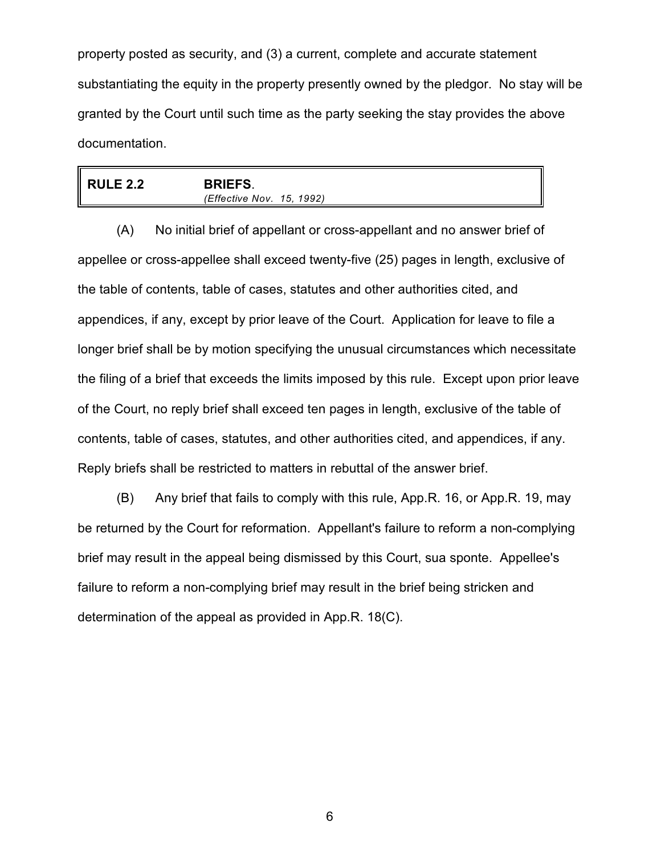property posted as security, and (3) a current, complete and accurate statement substantiating the equity in the property presently owned by the pledgor. No stay will be granted by the Court until such time as the party seeking the stay provides the above documentation.

|  | <b>RULE 2.2</b> | <b>BRIEFS.</b><br>(Effective Nov. 15, 1992) |  |
|--|-----------------|---------------------------------------------|--|
|--|-----------------|---------------------------------------------|--|

(A) No initial brief of appellant or cross-appellant and no answer brief of appellee or cross-appellee shall exceed twenty-five (25) pages in length, exclusive of the table of contents, table of cases, statutes and other authorities cited, and appendices, if any, except by prior leave of the Court. Application for leave to file a longer brief shall be by motion specifying the unusual circumstances which necessitate the filing of a brief that exceeds the limits imposed by this rule. Except upon prior leave of the Court, no reply brief shall exceed ten pages in length, exclusive of the table of contents, table of cases, statutes, and other authorities cited, and appendices, if any. Reply briefs shall be restricted to matters in rebuttal of the answer brief.

(B) Any brief that fails to comply with this rule, App.R. 16, or App.R. 19, may be returned by the Court for reformation. Appellant's failure to reform a non-complying brief may result in the appeal being dismissed by this Court, sua sponte. Appellee's failure to reform a non-complying brief may result in the brief being stricken and determination of the appeal as provided in App.R. 18(C).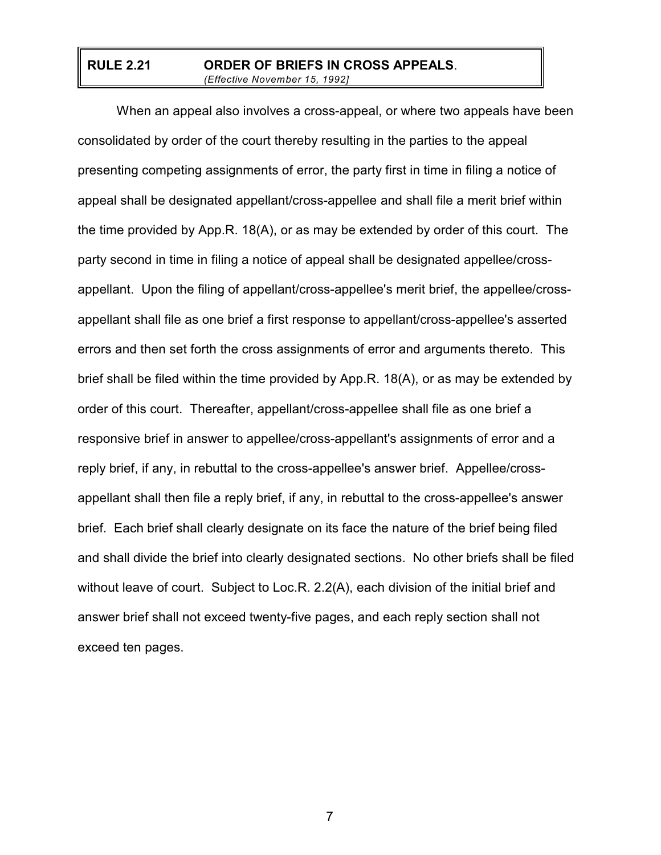#### **RULE 2.21 ORDER OF BRIEFS IN CROSS APPEALS**. *(Effective November 15, 1992]*

When an appeal also involves a cross-appeal, or where two appeals have been consolidated by order of the court thereby resulting in the parties to the appeal presenting competing assignments of error, the party first in time in filing a notice of appeal shall be designated appellant/cross-appellee and shall file a merit brief within the time provided by App.R. 18(A), or as may be extended by order of this court. The party second in time in filing a notice of appeal shall be designated appellee/crossappellant. Upon the filing of appellant/cross-appellee's merit brief, the appellee/crossappellant shall file as one brief a first response to appellant/cross-appellee's asserted errors and then set forth the cross assignments of error and arguments thereto. This brief shall be filed within the time provided by App.R. 18(A), or as may be extended by order of this court. Thereafter, appellant/cross-appellee shall file as one brief a responsive brief in answer to appellee/cross-appellant's assignments of error and a reply brief, if any, in rebuttal to the cross-appellee's answer brief. Appellee/crossappellant shall then file a reply brief, if any, in rebuttal to the cross-appellee's answer brief. Each brief shall clearly designate on its face the nature of the brief being filed and shall divide the brief into clearly designated sections. No other briefs shall be filed without leave of court. Subject to Loc.R. 2.2(A), each division of the initial brief and answer brief shall not exceed twenty-five pages, and each reply section shall not exceed ten pages.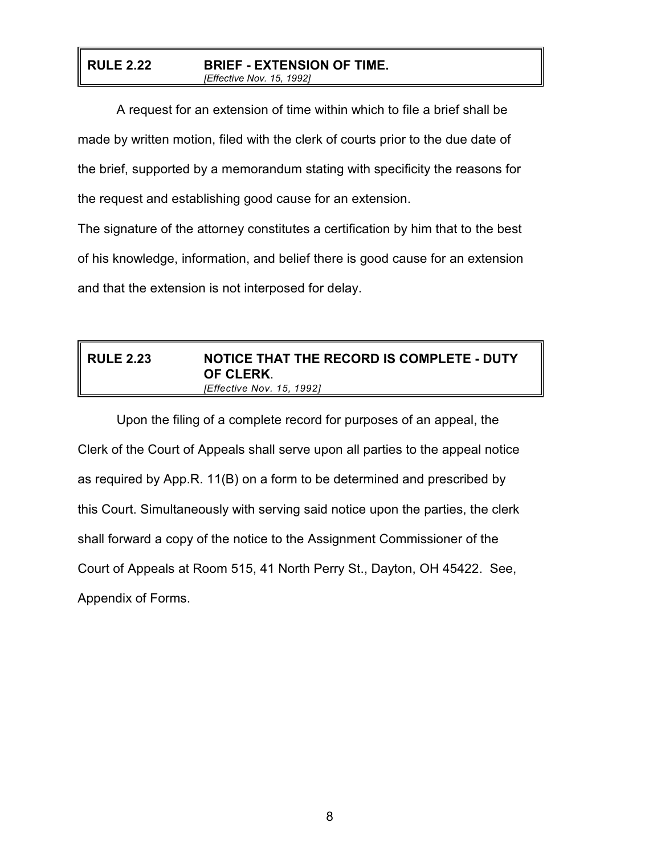#### **RULE 2.22 BRIEF - EXTENSION OF TIME.** *[Effective Nov. 15, 1992]*

A request for an extension of time within which to file a brief shall be made by written motion, filed with the clerk of courts prior to the due date of the brief, supported by a memorandum stating with specificity the reasons for the request and establishing good cause for an extension.

The signature of the attorney constitutes a certification by him that to the best of his knowledge, information, and belief there is good cause for an extension and that the extension is not interposed for delay.

## **RULE 2.23 NOTICE THAT THE RECORD IS COMPLETE - DUTY OF CLERK**. *[Effective Nov. 15, 1992]*

Upon the filing of a complete record for purposes of an appeal, the Clerk of the Court of Appeals shall serve upon all parties to the appeal notice as required by App.R. 11(B) on a form to be determined and prescribed by this Court. Simultaneously with serving said notice upon the parties, the clerk shall forward a copy of the notice to the Assignment Commissioner of the Court of Appeals at Room 515, 41 North Perry St., Dayton, OH 45422. See, Appendix of Forms.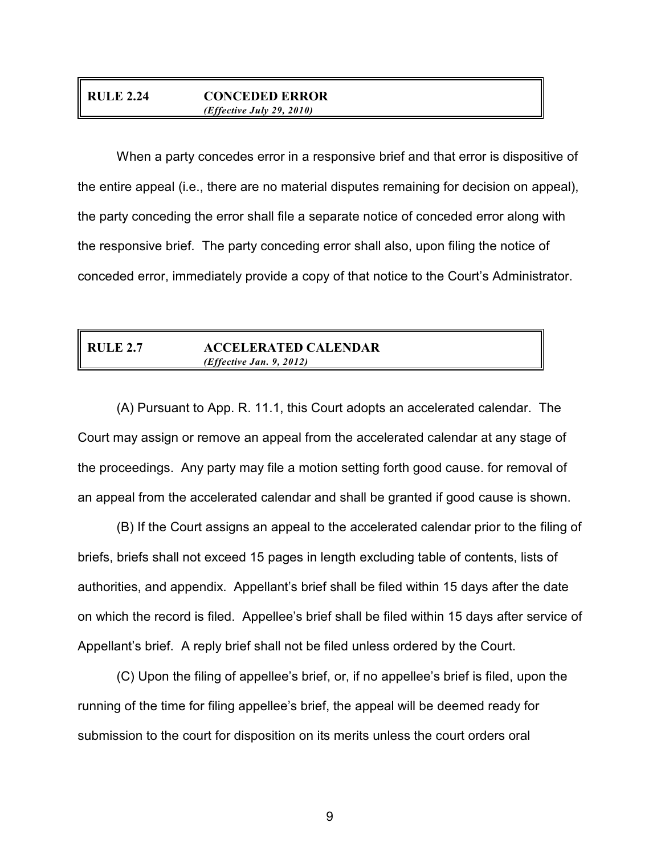#### **RULE 2.24 CONCEDED ERROR** *(Effective July 29, 2010)*

When a party concedes error in a responsive brief and that error is dispositive of the entire appeal (i.e., there are no material disputes remaining for decision on appeal), the party conceding the error shall file a separate notice of conceded error along with the responsive brief. The party conceding error shall also, upon filing the notice of conceded error, immediately provide a copy of that notice to the Court's Administrator.

#### **RULE 2.7 ACCELERATED CALENDAR** *(Effective Jan. 9, 2012)*

(A) Pursuant to App. R. 11.1, this Court adopts an accelerated calendar. The Court may assign or remove an appeal from the accelerated calendar at any stage of the proceedings. Any party may file a motion setting forth good cause. for removal of an appeal from the accelerated calendar and shall be granted if good cause is shown.

(B) If the Court assigns an appeal to the accelerated calendar prior to the filing of briefs, briefs shall not exceed 15 pages in length excluding table of contents, lists of authorities, and appendix. Appellant's brief shall be filed within 15 days after the date on which the record is filed. Appellee's brief shall be filed within 15 days after service of Appellant's brief. A reply brief shall not be filed unless ordered by the Court.

(C) Upon the filing of appellee's brief, or, if no appellee's brief is filed, upon the running of the time for filing appellee's brief, the appeal will be deemed ready for submission to the court for disposition on its merits unless the court orders oral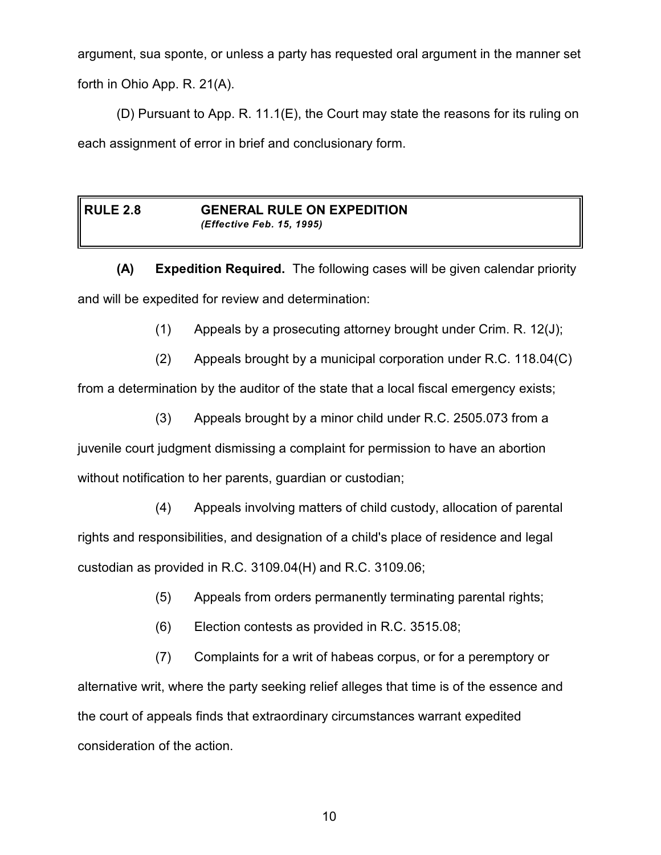argument, sua sponte, or unless a party has requested oral argument in the manner set forth in Ohio App. R. 21(A).

(D) Pursuant to App. R. 11.1(E), the Court may state the reasons for its ruling on each assignment of error in brief and conclusionary form.

#### **RULE 2.8 GENERAL RULE ON EXPEDITION** *(Effective Feb. 15, 1995)*

**(A) Expedition Required.** The following cases will be given calendar priority and will be expedited for review and determination:

(1) Appeals by a prosecuting attorney brought under Crim. R. 12(J);

(2) Appeals brought by a municipal corporation under R.C. 118.04(C)

from a determination by the auditor of the state that a local fiscal emergency exists;

(3) Appeals brought by a minor child under R.C. 2505.073 from a

juvenile court judgment dismissing a complaint for permission to have an abortion without notification to her parents, guardian or custodian;

(4) Appeals involving matters of child custody, allocation of parental rights and responsibilities, and designation of a child's place of residence and legal custodian as provided in R.C. 3109.04(H) and R.C. 3109.06;

- (5) Appeals from orders permanently terminating parental rights;
- (6) Election contests as provided in R.C. 3515.08;

(7) Complaints for a writ of habeas corpus, or for a peremptory or alternative writ, where the party seeking relief alleges that time is of the essence and the court of appeals finds that extraordinary circumstances warrant expedited consideration of the action.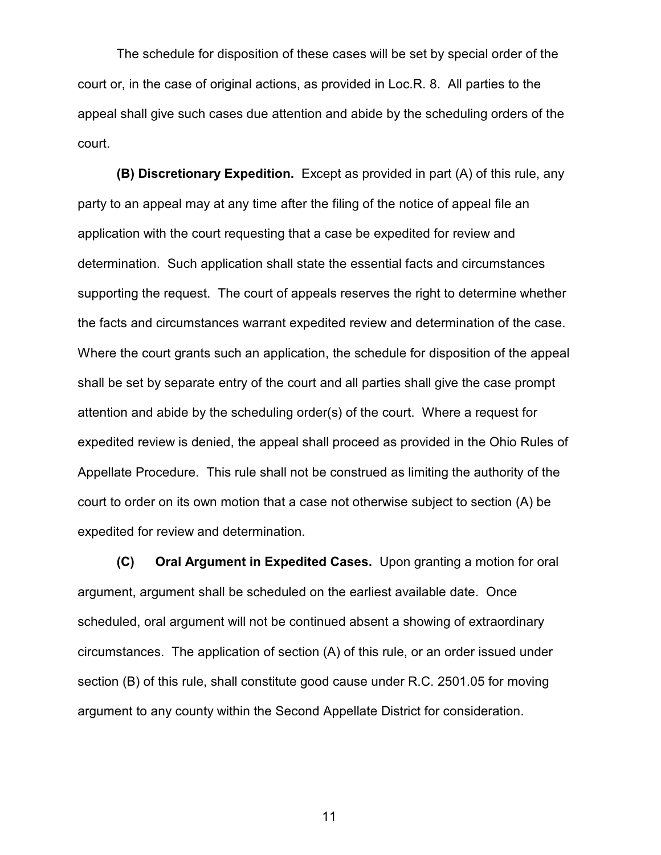The schedule for disposition of these cases will be set by special order of the court or, in the case of original actions, as provided in Loc.R. 8. All parties to the appeal shall give such cases due attention and abide by the scheduling orders of the court.

**(B) Discretionary Expedition.** Except as provided in part (A) of this rule, any party to an appeal may at any time after the filing of the notice of appeal file an application with the court requesting that a case be expedited for review and determination. Such application shall state the essential facts and circumstances supporting the request. The court of appeals reserves the right to determine whether the facts and circumstances warrant expedited review and determination of the case. Where the court grants such an application, the schedule for disposition of the appeal shall be set by separate entry of the court and all parties shall give the case prompt attention and abide by the scheduling order(s) of the court. Where a request for expedited review is denied, the appeal shall proceed as provided in the Ohio Rules of Appellate Procedure. This rule shall not be construed as limiting the authority of the court to order on its own motion that a case not otherwise subject to section (A) be expedited for review and determination.

**(C) Oral Argument in Expedited Cases.** Upon granting a motion for oral argument, argument shall be scheduled on the earliest available date. Once scheduled, oral argument will not be continued absent a showing of extraordinary circumstances. The application of section (A) of this rule, or an order issued under section (B) of this rule, shall constitute good cause under R.C. 2501.05 for moving argument to any county within the Second Appellate District for consideration.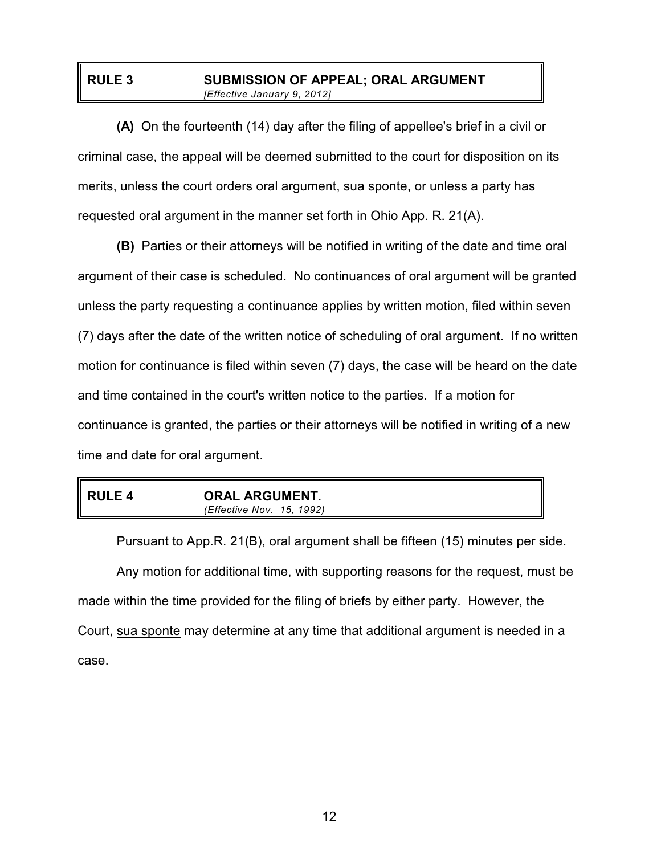## **RULE 3 SUBMISSION OF APPEAL; ORAL ARGUMENT** *[Effective January 9, 2012]*

**(A)** On the fourteenth (14) day after the filing of appellee's brief in a civil or criminal case, the appeal will be deemed submitted to the court for disposition on its merits, unless the court orders oral argument, sua sponte, or unless a party has requested oral argument in the manner set forth in Ohio App. R. 21(A).

**(B)** Parties or their attorneys will be notified in writing of the date and time oral argument of their case is scheduled. No continuances of oral argument will be granted unless the party requesting a continuance applies by written motion, filed within seven (7) days after the date of the written notice of scheduling of oral argument. If no written motion for continuance is filed within seven (7) days, the case will be heard on the date and time contained in the court's written notice to the parties. If a motion for continuance is granted, the parties or their attorneys will be notified in writing of a new time and date for oral argument.

# **RULE 4 ORAL ARGUMENT**. *(Effective Nov. 15, 1992)*

Pursuant to App.R. 21(B), oral argument shall be fifteen (15) minutes per side. Any motion for additional time, with supporting reasons for the request, must be made within the time provided for the filing of briefs by either party. However, the Court, sua sponte may determine at any time that additional argument is needed in a case.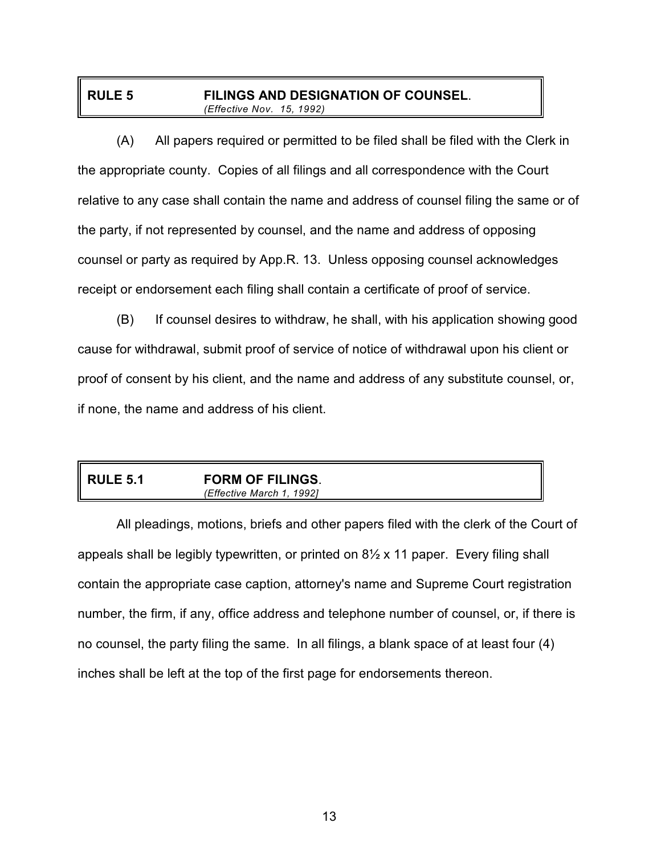## **RULE 5 FILINGS AND DESIGNATION OF COUNSEL**. *(Effective Nov. 15, 1992)*

(A) All papers required or permitted to be filed shall be filed with the Clerk in the appropriate county. Copies of all filings and all correspondence with the Court relative to any case shall contain the name and address of counsel filing the same or of the party, if not represented by counsel, and the name and address of opposing counsel or party as required by App.R. 13. Unless opposing counsel acknowledges receipt or endorsement each filing shall contain a certificate of proof of service.

(B) If counsel desires to withdraw, he shall, with his application showing good cause for withdrawal, submit proof of service of notice of withdrawal upon his client or proof of consent by his client, and the name and address of any substitute counsel, or, if none, the name and address of his client.

| <b>RULE 5.1</b> | <b>FORM OF FILINGS.</b>      |  |
|-----------------|------------------------------|--|
|                 | (Effective March 1.<br>19921 |  |

All pleadings, motions, briefs and other papers filed with the clerk of the Court of appeals shall be legibly typewritten, or printed on 8½ x 11 paper. Every filing shall contain the appropriate case caption, attorney's name and Supreme Court registration number, the firm, if any, office address and telephone number of counsel, or, if there is no counsel, the party filing the same. In all filings, a blank space of at least four (4) inches shall be left at the top of the first page for endorsements thereon.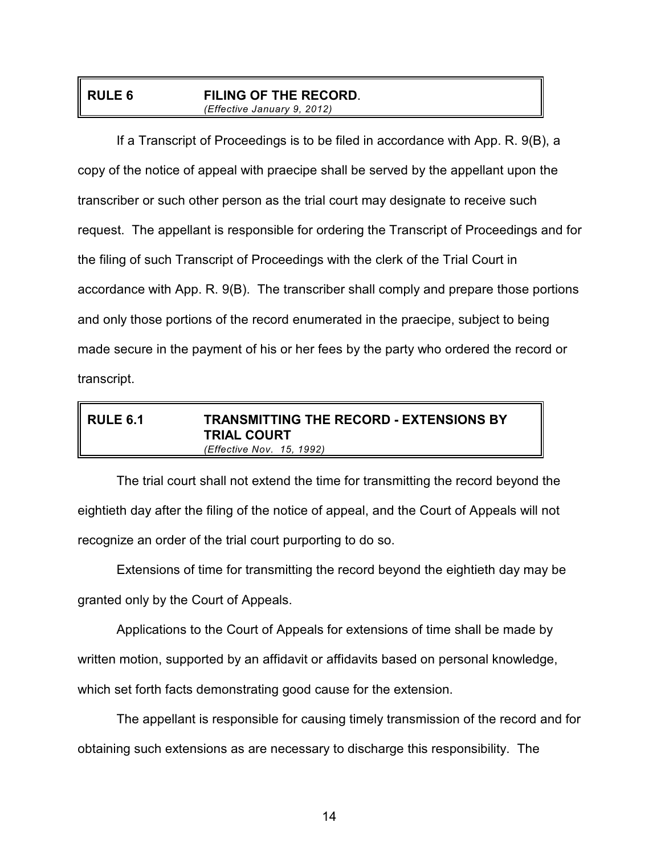## **RULE 6 FILING OF THE RECORD**. *(Effective January 9, 2012)*

If a Transcript of Proceedings is to be filed in accordance with App. R. 9(B), a copy of the notice of appeal with praecipe shall be served by the appellant upon the transcriber or such other person as the trial court may designate to receive such request. The appellant is responsible for ordering the Transcript of Proceedings and for the filing of such Transcript of Proceedings with the clerk of the Trial Court in accordance with App. R. 9(B). The transcriber shall comply and prepare those portions and only those portions of the record enumerated in the praecipe, subject to being made secure in the payment of his or her fees by the party who ordered the record or transcript.

## **RULE 6.1 TRANSMITTING THE RECORD - EXTENSIONS BY TRIAL COURT** *(Effective Nov. 15, 1992)*

The trial court shall not extend the time for transmitting the record beyond the eightieth day after the filing of the notice of appeal, and the Court of Appeals will not recognize an order of the trial court purporting to do so.

Extensions of time for transmitting the record beyond the eightieth day may be granted only by the Court of Appeals.

Applications to the Court of Appeals for extensions of time shall be made by written motion, supported by an affidavit or affidavits based on personal knowledge, which set forth facts demonstrating good cause for the extension.

The appellant is responsible for causing timely transmission of the record and for obtaining such extensions as are necessary to discharge this responsibility. The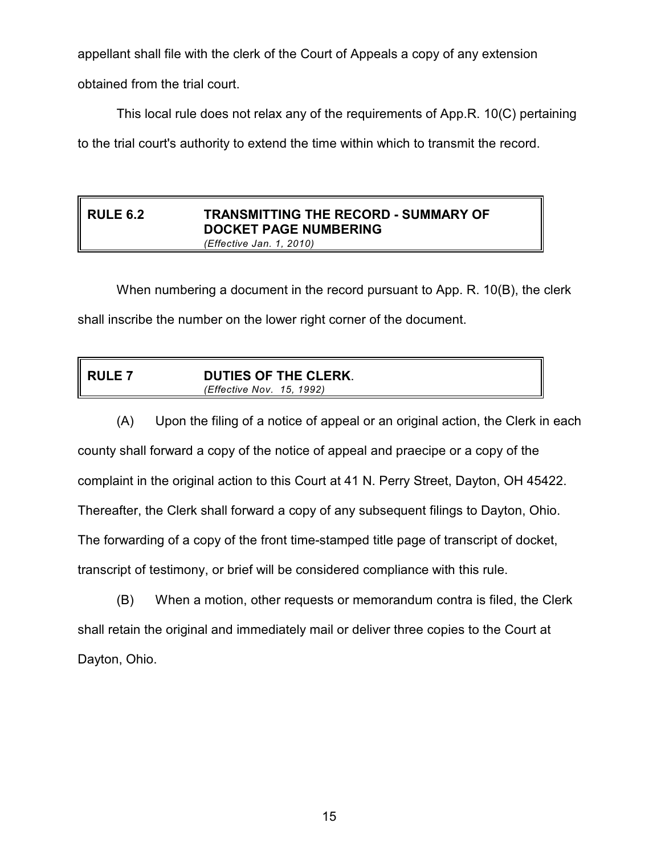appellant shall file with the clerk of the Court of Appeals a copy of any extension obtained from the trial court.

This local rule does not relax any of the requirements of App.R. 10(C) pertaining

to the trial court's authority to extend the time within which to transmit the record.

## **RULE 6.2 TRANSMITTING THE RECORD - SUMMARY OF DOCKET PAGE NUMBERING** *(Effective Jan. 1, 2010)*

When numbering a document in the record pursuant to App. R. 10(B), the clerk shall inscribe the number on the lower right corner of the document.

|--|

(A) Upon the filing of a notice of appeal or an original action, the Clerk in each county shall forward a copy of the notice of appeal and praecipe or a copy of the complaint in the original action to this Court at 41 N. Perry Street, Dayton, OH 45422. Thereafter, the Clerk shall forward a copy of any subsequent filings to Dayton, Ohio. The forwarding of a copy of the front time-stamped title page of transcript of docket, transcript of testimony, or brief will be considered compliance with this rule.

(B) When a motion, other requests or memorandum contra is filed, the Clerk shall retain the original and immediately mail or deliver three copies to the Court at Dayton, Ohio.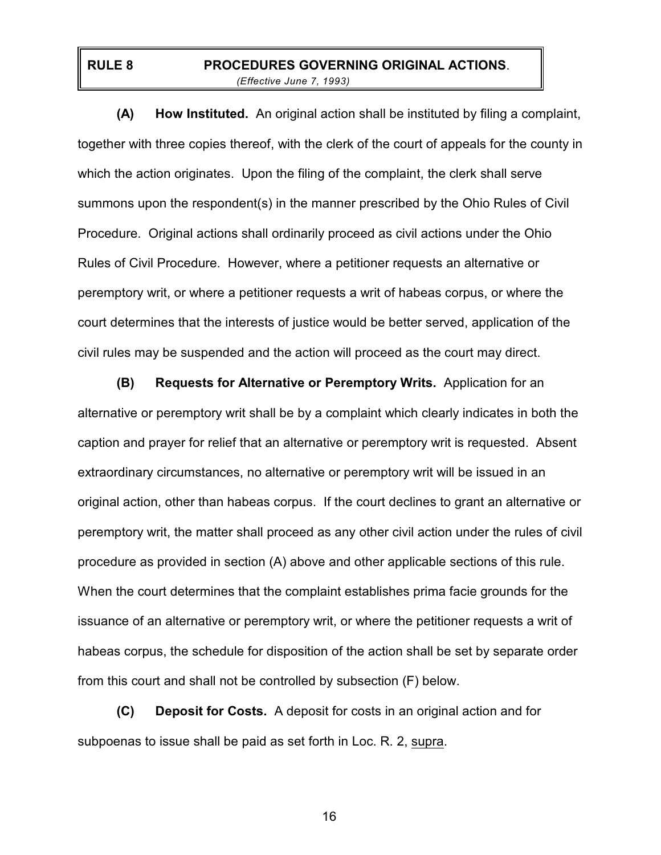## **RULE 8 PROCEDURES GOVERNING ORIGINAL ACTIONS**. *(Effective June 7, 1993)*

**(A) How Instituted.** An original action shall be instituted by filing a complaint, together with three copies thereof, with the clerk of the court of appeals for the county in which the action originates. Upon the filing of the complaint, the clerk shall serve summons upon the respondent(s) in the manner prescribed by the Ohio Rules of Civil Procedure. Original actions shall ordinarily proceed as civil actions under the Ohio Rules of Civil Procedure. However, where a petitioner requests an alternative or peremptory writ, or where a petitioner requests a writ of habeas corpus, or where the court determines that the interests of justice would be better served, application of the civil rules may be suspended and the action will proceed as the court may direct.

 **(B) Requests for Alternative or Peremptory Writs.** Application for an alternative or peremptory writ shall be by a complaint which clearly indicates in both the caption and prayer for relief that an alternative or peremptory writ is requested. Absent extraordinary circumstances, no alternative or peremptory writ will be issued in an original action, other than habeas corpus. If the court declines to grant an alternative or peremptory writ, the matter shall proceed as any other civil action under the rules of civil procedure as provided in section (A) above and other applicable sections of this rule. When the court determines that the complaint establishes prima facie grounds for the issuance of an alternative or peremptory writ, or where the petitioner requests a writ of habeas corpus, the schedule for disposition of the action shall be set by separate order from this court and shall not be controlled by subsection (F) below.

**(C) Deposit for Costs.** A deposit for costs in an original action and for subpoenas to issue shall be paid as set forth in Loc. R. 2, supra.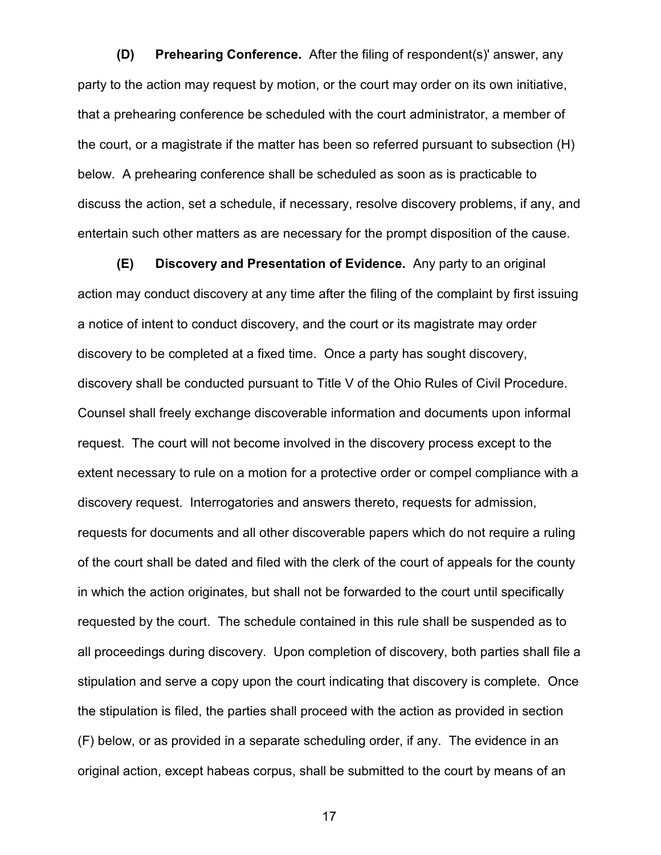**(D) Prehearing Conference.** After the filing of respondent(s)' answer, any party to the action may request by motion, or the court may order on its own initiative, that a prehearing conference be scheduled with the court administrator, a member of the court, or a magistrate if the matter has been so referred pursuant to subsection (H) below. A prehearing conference shall be scheduled as soon as is practicable to discuss the action, set a schedule, if necessary, resolve discovery problems, if any, and entertain such other matters as are necessary for the prompt disposition of the cause.

**(E) Discovery and Presentation of Evidence.** Any party to an original action may conduct discovery at any time after the filing of the complaint by first issuing a notice of intent to conduct discovery, and the court or its magistrate may order discovery to be completed at a fixed time. Once a party has sought discovery, discovery shall be conducted pursuant to Title V of the Ohio Rules of Civil Procedure. Counsel shall freely exchange discoverable information and documents upon informal request. The court will not become involved in the discovery process except to the extent necessary to rule on a motion for a protective order or compel compliance with a discovery request. Interrogatories and answers thereto, requests for admission, requests for documents and all other discoverable papers which do not require a ruling of the court shall be dated and filed with the clerk of the court of appeals for the county in which the action originates, but shall not be forwarded to the court until specifically requested by the court. The schedule contained in this rule shall be suspended as to all proceedings during discovery. Upon completion of discovery, both parties shall file a stipulation and serve a copy upon the court indicating that discovery is complete. Once the stipulation is filed, the parties shall proceed with the action as provided in section (F) below, or as provided in a separate scheduling order, if any. The evidence in an original action, except habeas corpus, shall be submitted to the court by means of an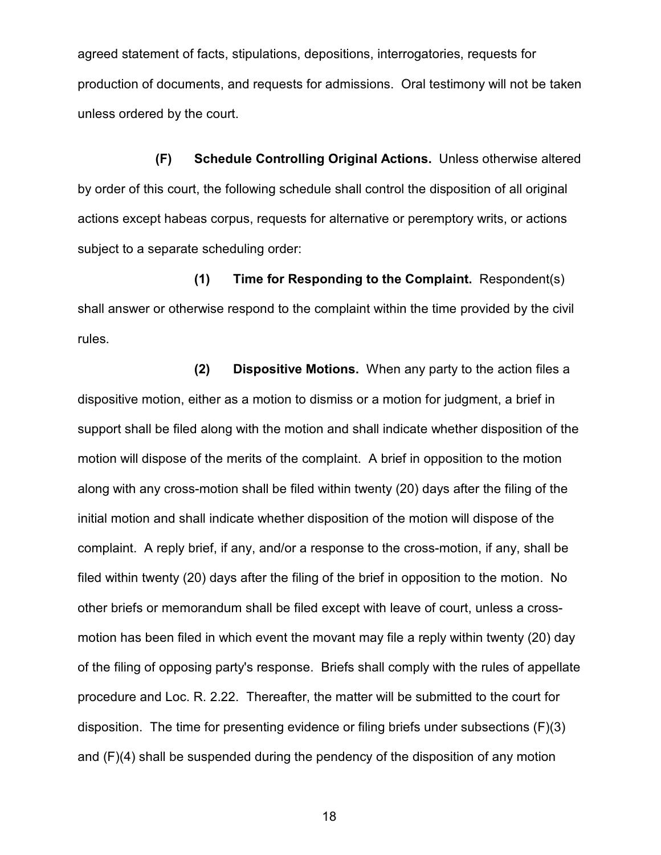agreed statement of facts, stipulations, depositions, interrogatories, requests for production of documents, and requests for admissions. Oral testimony will not be taken unless ordered by the court.

**(F) Schedule Controlling Original Actions.** Unless otherwise altered by order of this court, the following schedule shall control the disposition of all original actions except habeas corpus, requests for alternative or peremptory writs, or actions subject to a separate scheduling order:

**(1) Time for Responding to the Complaint.** Respondent(s) shall answer or otherwise respond to the complaint within the time provided by the civil rules.

**(2) Dispositive Motions.** When any party to the action files a dispositive motion, either as a motion to dismiss or a motion for judgment, a brief in support shall be filed along with the motion and shall indicate whether disposition of the motion will dispose of the merits of the complaint. A brief in opposition to the motion along with any cross-motion shall be filed within twenty (20) days after the filing of the initial motion and shall indicate whether disposition of the motion will dispose of the complaint. A reply brief, if any, and/or a response to the cross-motion, if any, shall be filed within twenty (20) days after the filing of the brief in opposition to the motion. No other briefs or memorandum shall be filed except with leave of court, unless a crossmotion has been filed in which event the movant may file a reply within twenty (20) day of the filing of opposing party's response. Briefs shall comply with the rules of appellate procedure and Loc. R. 2.22. Thereafter, the matter will be submitted to the court for disposition. The time for presenting evidence or filing briefs under subsections (F)(3) and (F)(4) shall be suspended during the pendency of the disposition of any motion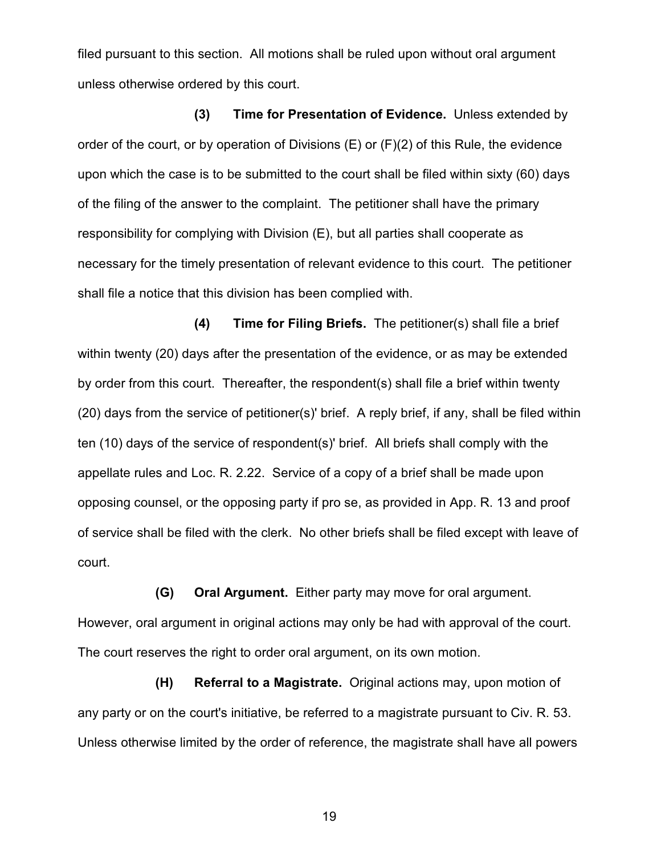filed pursuant to this section. All motions shall be ruled upon without oral argument unless otherwise ordered by this court.

**(3) Time for Presentation of Evidence.** Unless extended by order of the court, or by operation of Divisions (E) or (F)(2) of this Rule, the evidence upon which the case is to be submitted to the court shall be filed within sixty (60) days of the filing of the answer to the complaint. The petitioner shall have the primary responsibility for complying with Division (E), but all parties shall cooperate as necessary for the timely presentation of relevant evidence to this court. The petitioner shall file a notice that this division has been complied with.

**(4) Time for Filing Briefs.** The petitioner(s) shall file a brief within twenty (20) days after the presentation of the evidence, or as may be extended by order from this court. Thereafter, the respondent(s) shall file a brief within twenty (20) days from the service of petitioner(s)' brief. A reply brief, if any, shall be filed within ten (10) days of the service of respondent(s)' brief. All briefs shall comply with the appellate rules and Loc. R. 2.22. Service of a copy of a brief shall be made upon opposing counsel, or the opposing party if pro se, as provided in App. R. 13 and proof of service shall be filed with the clerk. No other briefs shall be filed except with leave of court.

**(G) Oral Argument.** Either party may move for oral argument. However, oral argument in original actions may only be had with approval of the court. The court reserves the right to order oral argument, on its own motion.

**(H) Referral to a Magistrate.** Original actions may, upon motion of any party or on the court's initiative, be referred to a magistrate pursuant to Civ. R. 53. Unless otherwise limited by the order of reference, the magistrate shall have all powers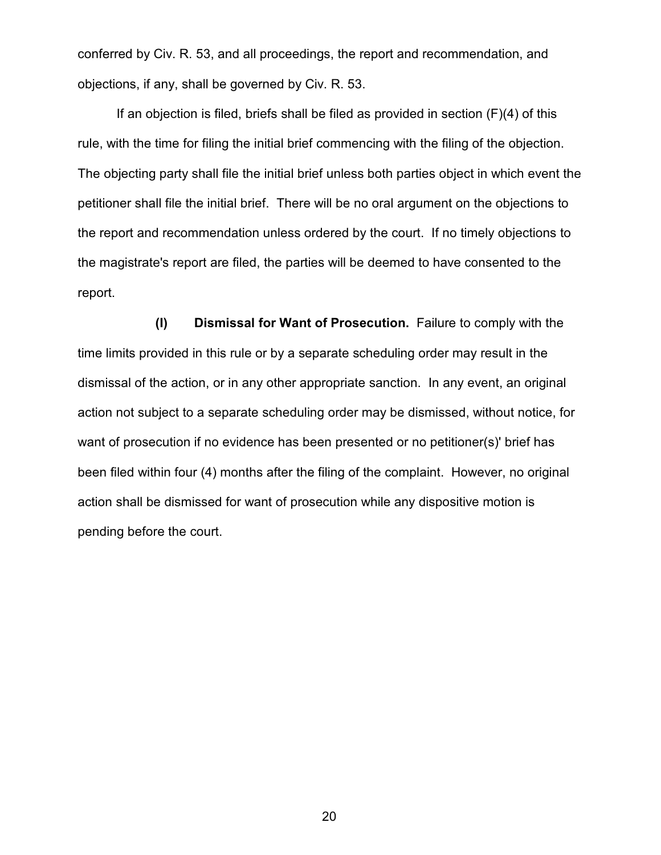conferred by Civ. R. 53, and all proceedings, the report and recommendation, and objections, if any, shall be governed by Civ. R. 53.

If an objection is filed, briefs shall be filed as provided in section  $(F)(4)$  of this rule, with the time for filing the initial brief commencing with the filing of the objection. The objecting party shall file the initial brief unless both parties object in which event the petitioner shall file the initial brief. There will be no oral argument on the objections to the report and recommendation unless ordered by the court. If no timely objections to the magistrate's report are filed, the parties will be deemed to have consented to the report.

**(I) Dismissal for Want of Prosecution.** Failure to comply with the time limits provided in this rule or by a separate scheduling order may result in the dismissal of the action, or in any other appropriate sanction. In any event, an original action not subject to a separate scheduling order may be dismissed, without notice, for want of prosecution if no evidence has been presented or no petitioner(s)' brief has been filed within four (4) months after the filing of the complaint. However, no original action shall be dismissed for want of prosecution while any dispositive motion is pending before the court.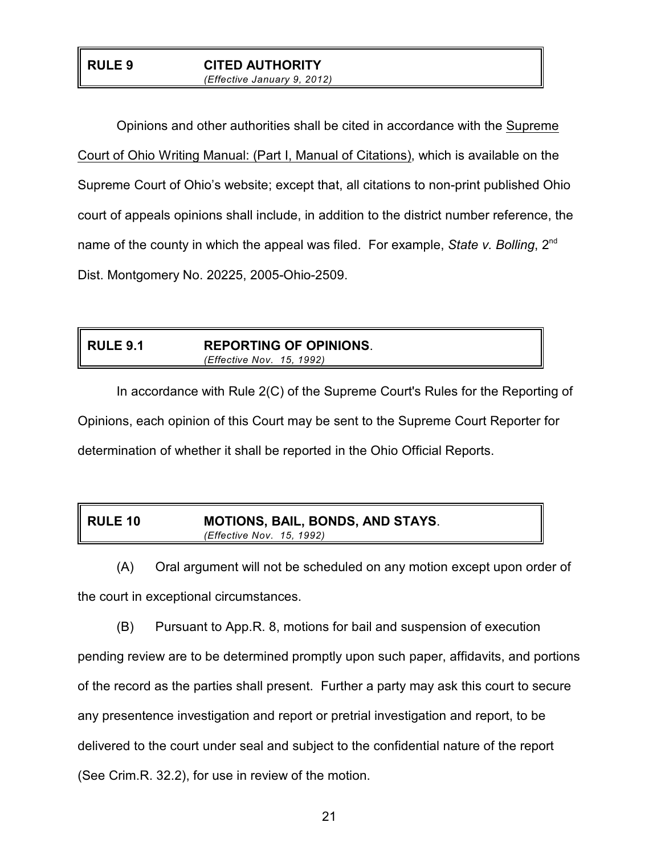#### **RULE 9 CITED AUTHORITY** *(Effective January 9, 2012)*

Opinions and other authorities shall be cited in accordance with the Supreme Court of Ohio Writing Manual: (Part I, Manual of Citations), which is available on the Supreme Court of Ohio's website; except that, all citations to non-print published Ohio court of appeals opinions shall include, in addition to the district number reference, the name of the county in which the appeal was filed. For example, *State v. Bolling*, 2nd Dist. Montgomery No. 20225, 2005-Ohio-2509.

## **RULE 9.1 REPORTING OF OPINIONS**. *(Effective Nov. 15, 1992)*

In accordance with Rule 2(C) of the Supreme Court's Rules for the Reporting of Opinions, each opinion of this Court may be sent to the Supreme Court Reporter for determination of whether it shall be reported in the Ohio Official Reports.

| <b>RULE 10</b> | <b>MOTIONS, BAIL, BONDS, AND STAYS.</b> |
|----------------|-----------------------------------------|
|                | (Effective Nov. 15, 1992)               |

(A) Oral argument will not be scheduled on any motion except upon order of the court in exceptional circumstances.

(B) Pursuant to App.R. 8, motions for bail and suspension of execution pending review are to be determined promptly upon such paper, affidavits, and portions of the record as the parties shall present. Further a party may ask this court to secure any presentence investigation and report or pretrial investigation and report, to be delivered to the court under seal and subject to the confidential nature of the report (See Crim.R. 32.2), for use in review of the motion.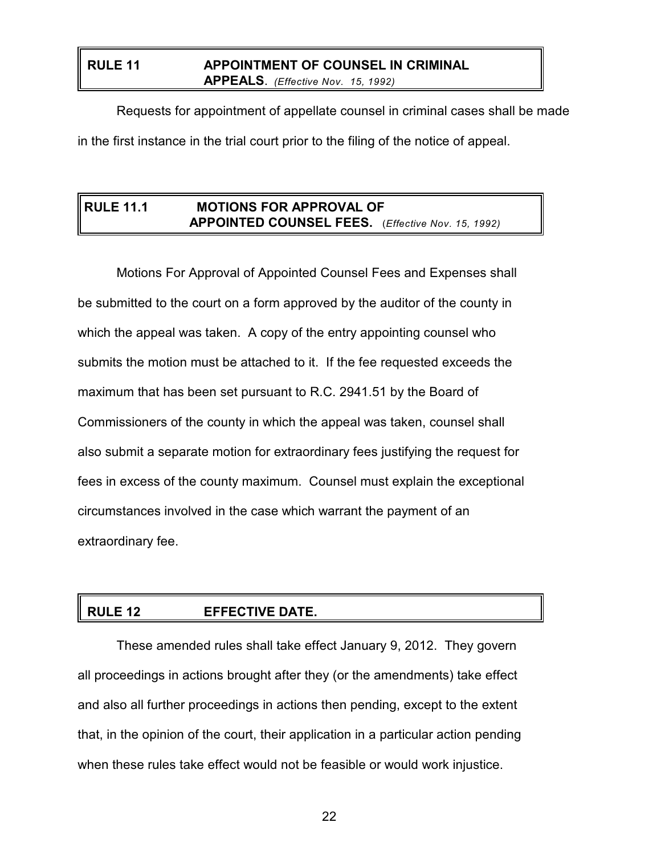## **RULE 11 APPOINTMENT OF COUNSEL IN CRIMINAL APPEALS**. *(Effective Nov. 15, 1992)*

Requests for appointment of appellate counsel in criminal cases shall be made in the first instance in the trial court prior to the filing of the notice of appeal.

## **RULE 11.1 MOTIONS FOR APPROVAL OF APPOINTED COUNSEL FEES.** (*Effective Nov. 15, 1992)*

Motions For Approval of Appointed Counsel Fees and Expenses shall be submitted to the court on a form approved by the auditor of the county in which the appeal was taken. A copy of the entry appointing counsel who submits the motion must be attached to it. If the fee requested exceeds the maximum that has been set pursuant to R.C. 2941.51 by the Board of Commissioners of the county in which the appeal was taken, counsel shall also submit a separate motion for extraordinary fees justifying the request for fees in excess of the county maximum. Counsel must explain the exceptional circumstances involved in the case which warrant the payment of an extraordinary fee.

# **RULE 12 EFFECTIVE DATE.**

These amended rules shall take effect January 9, 2012. They govern all proceedings in actions brought after they (or the amendments) take effect and also all further proceedings in actions then pending, except to the extent that, in the opinion of the court, their application in a particular action pending when these rules take effect would not be feasible or would work injustice.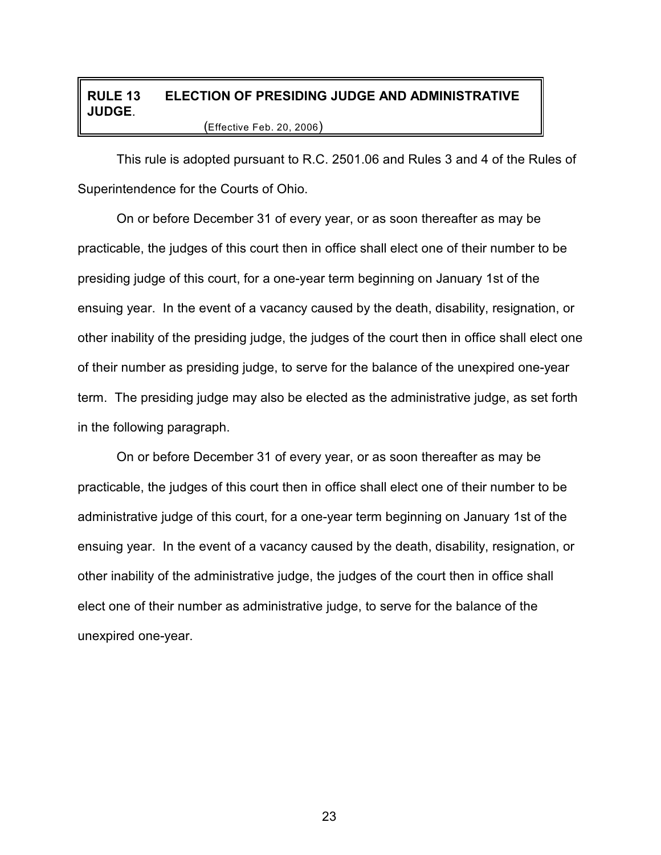## **RULE 13 ELECTION OF PRESIDING JUDGE AND ADMINISTRATIVE JUDGE**. (Effective Feb. 20, 2006)

This rule is adopted pursuant to R.C. 2501.06 and Rules 3 and 4 of the Rules of Superintendence for the Courts of Ohio.

On or before December 31 of every year, or as soon thereafter as may be practicable, the judges of this court then in office shall elect one of their number to be presiding judge of this court, for a one-year term beginning on January 1st of the ensuing year. In the event of a vacancy caused by the death, disability, resignation, or other inability of the presiding judge, the judges of the court then in office shall elect one of their number as presiding judge, to serve for the balance of the unexpired one-year term. The presiding judge may also be elected as the administrative judge, as set forth in the following paragraph.

On or before December 31 of every year, or as soon thereafter as may be practicable, the judges of this court then in office shall elect one of their number to be administrative judge of this court, for a one-year term beginning on January 1st of the ensuing year. In the event of a vacancy caused by the death, disability, resignation, or other inability of the administrative judge, the judges of the court then in office shall elect one of their number as administrative judge, to serve for the balance of the unexpired one-year.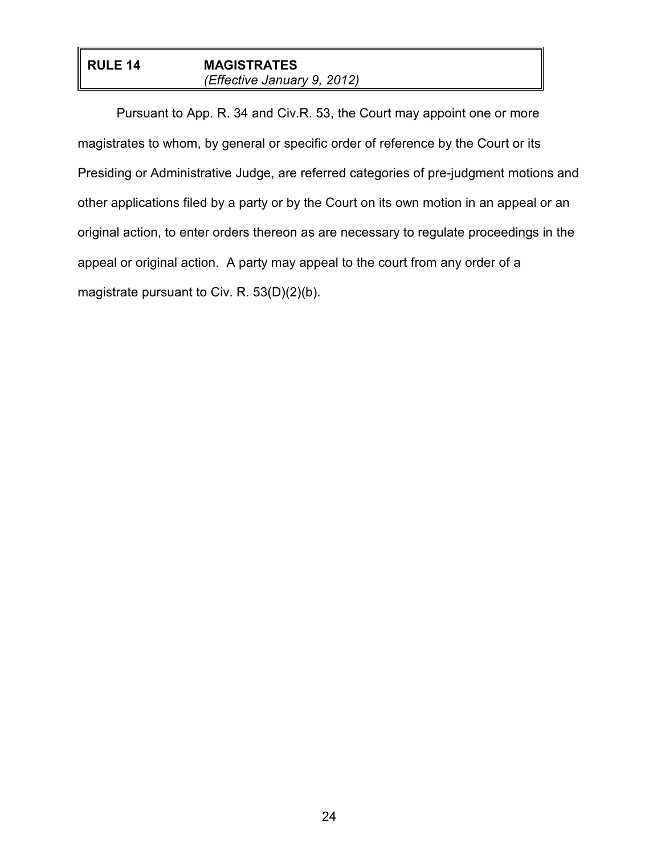## **RULE 14 MAGISTRATES** *(Effective January 9, 2012)*

Pursuant to App. R. 34 and Civ.R. 53, the Court may appoint one or more magistrates to whom, by general or specific order of reference by the Court or its Presiding or Administrative Judge, are referred categories of pre-judgment motions and other applications filed by a party or by the Court on its own motion in an appeal or an original action, to enter orders thereon as are necessary to regulate proceedings in the appeal or original action. A party may appeal to the court from any order of a magistrate pursuant to Civ. R. 53(D)(2)(b).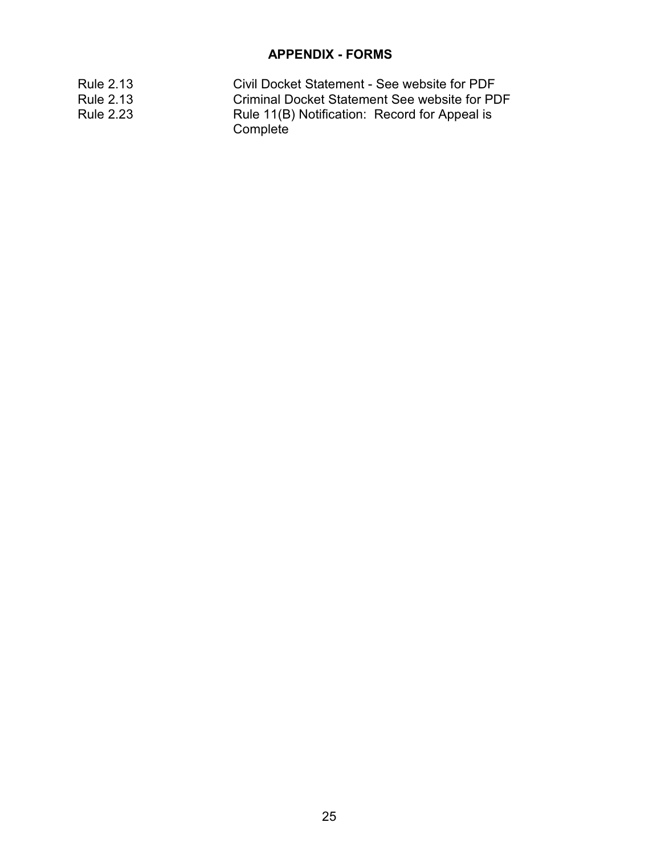## **APPENDIX - FORMS**

| Rule 2.13        | Civil Docket Statement - See website for PDF              |
|------------------|-----------------------------------------------------------|
| <b>Rule 2.13</b> | Criminal Docket Statement See website for PDF             |
| <b>Rule 2.23</b> | Rule 11(B) Notification: Record for Appeal is<br>Complete |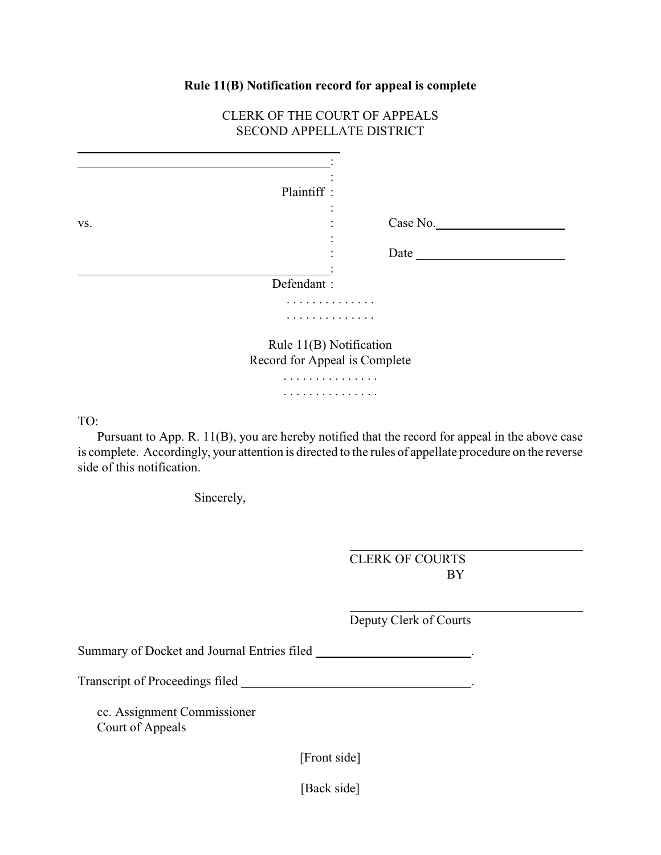#### **Rule 11(B) Notification record for appeal is complete**

## CLERK OF THE COURT OF APPEALS SECOND APPELLATE DISTRICT

|                   | Plaintiff:                    |          |  |  |
|-------------------|-------------------------------|----------|--|--|
| VS.               | $\bullet$                     | Case No. |  |  |
| $\bullet$<br>Date |                               |          |  |  |
|                   | Defendant:                    |          |  |  |
|                   |                               | .        |  |  |
| .                 |                               |          |  |  |
|                   | Rule 11(B) Notification       |          |  |  |
|                   | Record for Appeal is Complete |          |  |  |
|                   |                               | .        |  |  |
|                   | .                             |          |  |  |

TO:

 $\overline{a}$ 

Pursuant to App. R. 11(B), you are hereby notified that the record for appeal in the above case is complete. Accordingly, your attention is directed to the rules of appellate procedure on the reverse side of this notification.

 $\overline{a}$ 

 $\overline{a}$ 

Sincerely,

CLERK OF COURTS BY

Deputy Clerk of Courts

Summary of Docket and Journal Entries filed \_\_\_\_\_\_\_\_\_\_\_\_\_\_\_\_\_\_\_\_\_\_\_.

Transcript of Proceedings filed .

cc. Assignment Commissioner Court of Appeals

[Front side]

[Back side]